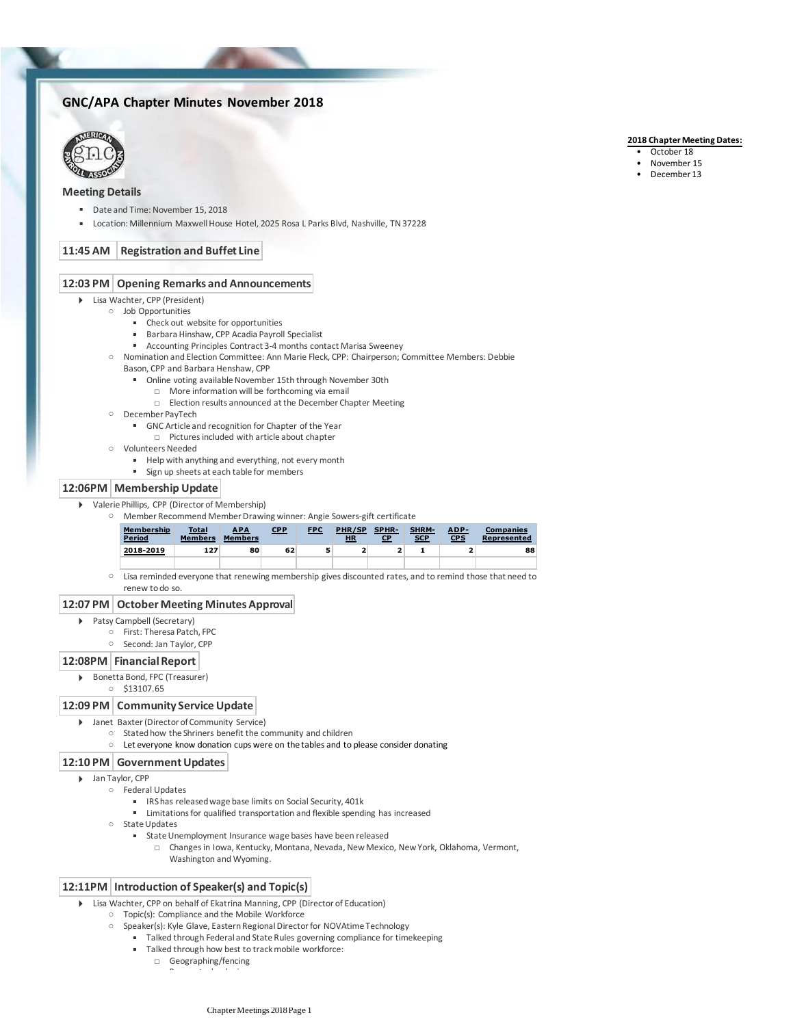# **GNC/APA Chapter Minutes November 2018**



# **Meeting Details**

- Date and Time: November 15, 2018
- Location: Millennium Maxwell House Hotel, 2025 Rosa L Parks Blvd, Nashville, TN 37228

# **11:45 AM Registration and Buffet Line**

#### **12:03 PM Opening Remarks and Announcements**

- Lisa Wachter, CPP (President)
	- Job Opportunities
		- Check out website for opportunities
		- Barbara Hinshaw, CPP Acadia Payroll Specialist
		- Accounting Principles Contract 3-4 months contact Marisa Sweeney
		- Nomination and Election Committee: Ann Marie Fleck, CPP: Chairperson; Committee Members: Debbie
		- Bason, CPP and Barbara Henshaw, CPP
			- Online voting available November 15th through November 30th
				- □ More information will be forthcoming via email
				- □ Election results announced at the December Chapter Meeting
		- December PayTech
			- **■** GNC Article and recognition for Chapter of the Year
				- □ Pictures included with article about chapter
		- Volunteers Needed
			- Help with anything and everything, not every month
			- **Example 1** Sign up sheets at each table for members

#### **12:06PM Membership Update**

- Valerie Phillips, CPP (Director of Membership)
	- Member Recommend Member Drawing winner: Angie Sowers-gift certificate

| Membership<br>Period<br>$\sim$ $\sim$ | <b>Total</b><br><b>Members</b> | <b>APA</b><br><b>Members</b> | <b>CPP</b> | <b>FPC</b> | PHR/SP<br><b>HR</b> | SPHR-<br>СP | <b>SHRM-</b><br><b>SCP</b> | ADP-<br><b>CPS</b> | <b>Companies</b><br>Represented |
|---------------------------------------|--------------------------------|------------------------------|------------|------------|---------------------|-------------|----------------------------|--------------------|---------------------------------|
| 2018-2019                             | 127                            | 80                           | 62         |            |                     |             |                            |                    | 88                              |
|                                       |                                |                              |            |            |                     |             |                            |                    |                                 |

○ Lisa reminded everyone that renewing membership gives discounted rates, and to remind those that need to renew to do so.

#### **12:07 PM October Meeting Minutes Approval**

- Patsy Campbell (Secretary)
	- First: Theresa Patch, FPC
	- Second: Jan Taylor, CPP

### **12:08PM Financial Report**

- ▶ Bonetta Bond, FPC (Treasurer)
	- \$13107.65

### **12:09 PM Community Service Update**

- Janet Baxter (Director of Community Service)
	- Stated how the Shriners benefit the community and children
	- Let everyone know donation cups were on the tables and to please consider donating

### **12:10 PM Government Updates**

- Jan Taylor, CPP
	- Federal Updates
		- IRS has released wage base limits on Social Security, 401k
			- Limitations for qualified transportation and flexible spending has increased
		- State Updates
			- **EXECTE State Unemployment Insurance wage bases have been released** 
				- Changes in Iowa, Kentucky, Montana, Nevada, New Mexico, New York, Oklahoma, Vermont, Washington and Wyoming. □

### **12:11PM Introduction of Speaker(s) and Topic(s)**

- Lisa Wachter, CPP on behalf of Ekatrina Manning, CPP (Director of Education)
	- Topic(s): Compliance and the Mobile Workforce
	- Speaker(s): Kyle Glave, Eastern Regional Director for NOVAtime Technology
		- Talked through Federal and State Rules governing compliance for timekeeping
		- Talked through how best to track mobile workforce:
			- □ Geographing/fencing □ Beacon technologies

#### **2018 Chapter Meeting Dates:**

- October 18
- November 15
- December 13